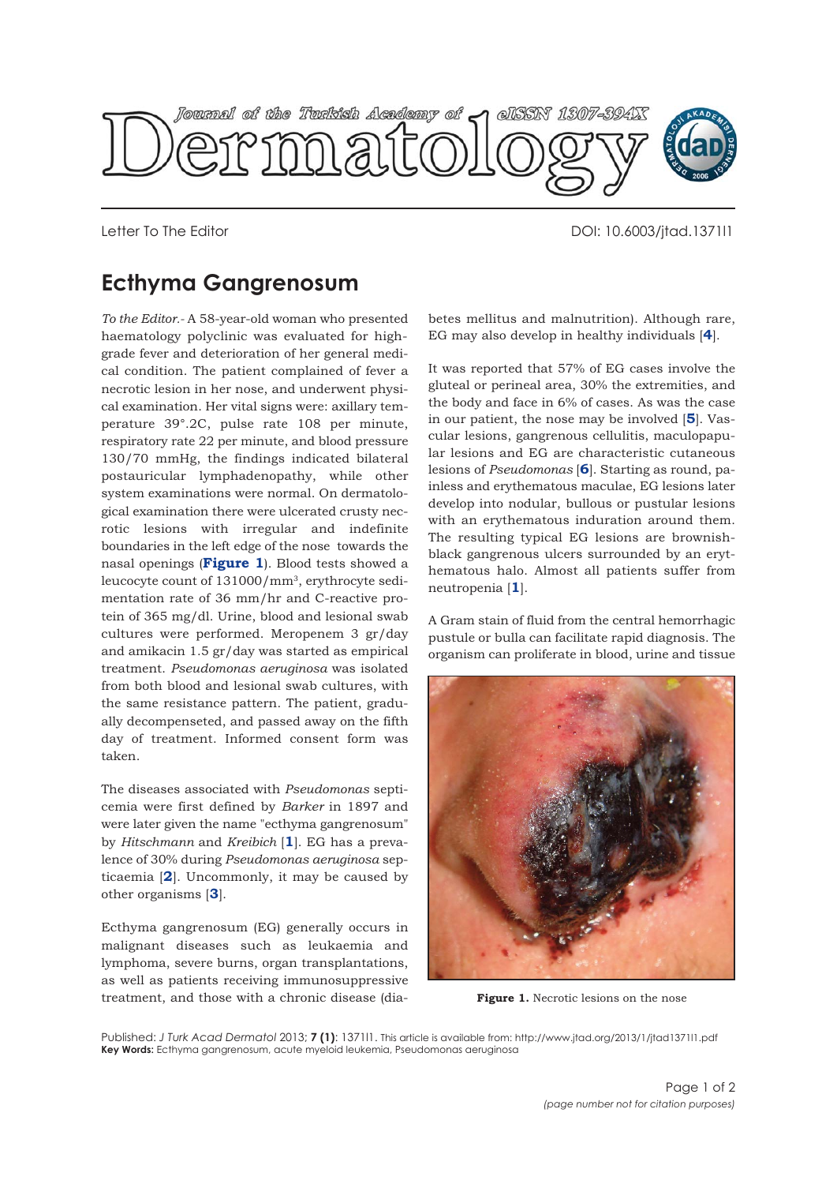

Letter To The Editor DOI: 10.6003/jtad.1371l1

## **Ecthyma Gangrenosum**

*To the Editor.-* A 58-year-old woman who presented haematology polyclinic was evaluated for highgrade fever and deterioration of her general medical condition. The patient complained of fever a necrotic lesion in her nose, and underwent physical examination. Her vital signs were: axillary temperature 39°.2C, pulse rate 108 per minute, respiratory rate 22 per minute, and blood pressure 130/70 mmHg, the findings indicated bilateral postauricular lymphadenopathy, while other system examinations were normal. On dermatological examination there were ulcerated crusty necrotic lesions with irregular and indefinite boundaries in the left edge of the nose towards the nasal openings (**Figure 1**). Blood tests showed a leucocyte count of 131000/mm3, erythrocyte sedimentation rate of 36 mm/hr and C-reactive protein of 365 mg/dl. Urine, blood and lesional swab cultures were performed. Meropenem 3 gr/day and amikacin 1.5 gr/day was started as empirical treatment. *Pseudomonas aeruginosa* was isolated from both blood and lesional swab cultures, with the same resistance pattern. The patient, gradually decompenseted, and passed away on the fifth day of treatment. Informed consent form was taken.

The diseases associated with *Pseudomonas* septicemia were first defined by *Barker* in 1897 and were later given the name "ecthyma gangrenosum" by *Hitschmann* and *Kreibich* [**1**[\].](#page-1-0) EG has a prevalence of 30% during *Pseudomonas aeruginosa* septicaemia [**2**[\].](#page-1-0) Uncommonly, it may be caused by other organisms [\[](#page-1-0)**3**].

Ecthyma gangrenosum (EG) generally occurs in malignant diseases such as leukaemia and lymphoma, severe burns, organ transplantations, as well as patients receiving immunosuppressive treatment, and those with a chronic disease (diabetes mellitus and malnutrition). Although rare, EG may also develop in healthy individuals [**4**[\].](#page-1-0)

It was reported that 57% of EG cases involve the gluteal or perineal area, 30% the extremities, and the body and face in 6% of cases. As was the case in our patient, the nose may be involved [**5**[\].](#page-1-0) Vascular lesions, gangrenous cellulitis, maculopapular lesions and EG are characteristic cutaneous lesions of *Pseudomonas* [**[6](#page-1-0)**]. Starting as round, painless and erythematous maculae, EG lesions later develop into nodular, bullous or pustular lesions with an erythematous induration around them. The resulting typical EG lesions are brownishblack gangrenous ulcers surrounded by an erythematous halo. Almost all patients suffer from neutropeni[a \[](#page-1-0)**1**].

A Gram stain of fluid from the central hemorrhagic pustule or bulla can facilitate rapid diagnosis. The organism can proliferate in blood, urine and tissue



**Figure 1.** Necrotic lesions on the nose

Published: *J Turk Acad Dermatol* 2013; **7 (1)**: 1371l1. This article is available from: http://www.jtad.org/2013/1/jtad1371l1.pdf **Key Words:** Ecthyma gangrenosum, acute myeloid leukemia, Pseudomonas aeruginosa